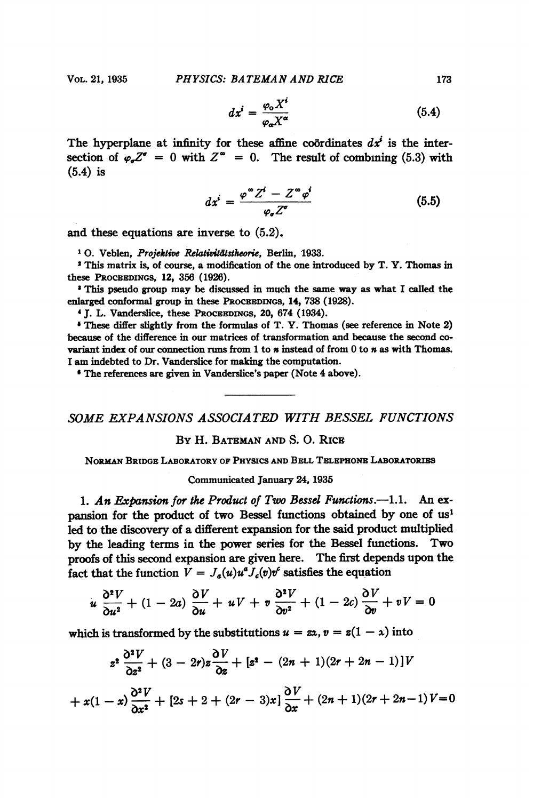$$
dx^{i} = \frac{\varphi_{0} X^{i}}{\varphi_{0} X^{\alpha}}
$$
 (5.4)

The hyperplane at infinity for these affine coordinates  $dx^i$  is the intersection of  $\varphi_{\sigma}Z^{\sigma} = 0$  with  $Z^{\infty} = 0$ . The result of combining (5.3) with (5.4) is

$$
dx^{i} = \frac{\varphi^{\infty} Z^{i} - Z^{\infty} \varphi^{i}}{\varphi_{\sigma} Z^{\sigma}}
$$
(5.5)

and these equations are inverse to (5.2).

<sup>1</sup> O. Veblen, Projektive Relativitätstheorie, Berlin, 1933.

<sup>2</sup> This matrix is, of course, a modification of the one introduced by T. Y. Thomas in these PROCEEDINGS, 12, 356 (1926).

' This pseudo group may be discussed in much the same way as what <sup>I</sup> called the enlarged conformal group in these PROCEEDINGS, 14, 738 (1928).

<sup>4</sup> J. L. Vanderslice, these PROCEEDINGS, 20, 674 (1934).

' These differ slightly from the formulas of T. Y. Thomas (see reference in Note 2) because of the difference in our matrices of transformation and because the second covariant index of our connection runs from  $1$  to  $n$  instead of from  $0$  to  $n$  as with Thomas. <sup>I</sup> am indebted to Dr. Vanderslice for making the computation.

' The references are given in Vanderslice's paper (Note 4 above).

## SOME EXPANSIONS ASSOCIATED WITH BESSEL FUNCTIONS

### By H. BATEMAN AND S. 0. RICE

NoRmAN BRIDGE LABORATORY OF PHYSICS AND BELL TELEPHONE LABORATORIBS

#### Communicated January 24, 1935

1. An Expansion for the Product of Two Bessel Functions.--1.1. An expansion for the product of two Bessel functions obtained by one of us' led to the discovery of a different expansion for the said product multiplied by the leading terms in the power series for the Bessel functions. Two proofs of this second expansion are given here. The first depends upon the fact that the function  $V = J_a(u)u^a J_c(v)v^c$  satisfies the equation

$$
u\frac{\partial^2 V}{\partial u^2} + (1-2a)\frac{\partial V}{\partial u} + uV + v\frac{\partial^2 V}{\partial v^2} + (1-2c)\frac{\partial V}{\partial v} + vV = 0
$$

which is transformed by the substitutions  $u = \alpha$ ,  $v = z(1 - x)$  into

$$
z^{2} \frac{\partial^{2} V}{\partial z^{2}} + (3 - 2r)z \frac{\partial V}{\partial z} + [z^{2} - (2n + 1)(2r + 2n - 1)]V
$$
  
+  $x(1 - x) \frac{\partial^{2} V}{\partial x^{2}} + [2s + 2 + (2r - 3)x] \frac{\partial V}{\partial x} + (2n + 1)(2r + 2n - 1)V = 0$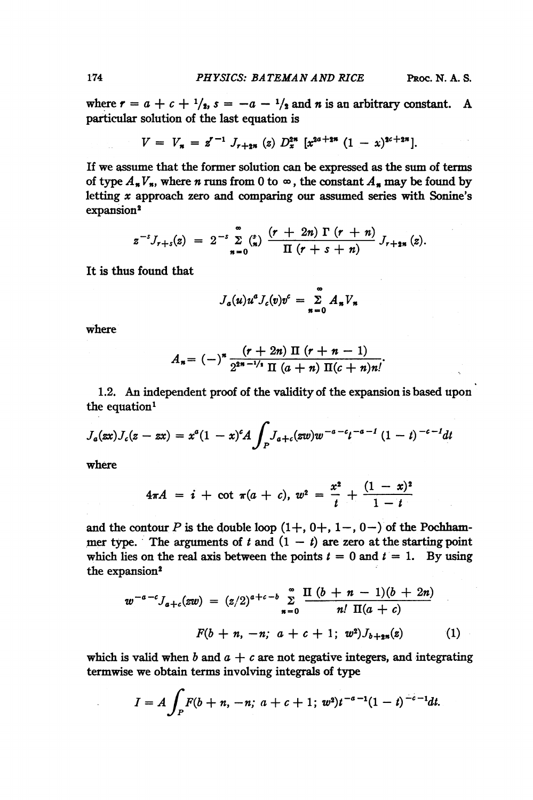where  $r = a + c + \frac{1}{2}$ ,  $s = -a - \frac{1}{2}$  and *n* is an arbitrary constant. A particular solution of the last equation is

$$
V = V_n = z^{r-1} J_{r+2n} (z) D_x^{2n} [x^{2a+2n} (1-x)^{2c+2n}].
$$

If we assume that the former solution can be expressed as the sum of terms of type  $A_{\boldsymbol{n}}V_{\boldsymbol{n}}$ , where *n* runs from 0 to  $\infty$ , the constant  $A_{\boldsymbol{n}}$  may be found by letting x approach zero and comparing our assumed series with Sonine's expansion<sup>2</sup>

$$
z^{-s}J_{r+s}(z) = 2^{-s}\sum_{n=0}^{\infty} {s \choose n} \frac{(r+2n) \Gamma(r+n)}{\Pi(r+s+n)} J_{r+2n}(z).
$$

It is thus found that

$$
J_a(u)u^aJ_c(v)v^c = \sum_{n=0}^{\infty} A_n V_n
$$

where

$$
A_n = (-)^n \frac{(r+2n) \Pi (r+n-1)}{2^{2n-1/n} \Pi (a+n) \Pi (c+n)n!}.
$$

1.2. An independent proof of the validity of the expansion is based upon the equation'

$$
J_a(\mathbf{z} x) J_c(z - \mathbf{z} x) = x^a (1 - x)^c A \int_P J_{a+c}(\mathbf{z} w) w^{-a-c} t^{-a-1} (1 - t)^{-c-1} dt
$$

where

$$
4\pi A = i + \cot \pi (a + c), w^2 = \frac{x^2}{t} + \frac{(1-x)^2}{1-t}
$$

and the contour P is the double loop  $(1+, 0+, 1-, 0-)$  of the Pochhammer type. The arguments of t and  $(1 - t)$  are zero at the starting point which lies on the real axis between the points  $t = 0$  and  $t = 1$ . By using the expansion<sup>2</sup>

$$
w^{-a-c}J_{a+c}(zw) = (z/2)^{a+c-b} \sum_{n=0}^{\infty} \frac{\Pi(b+n-1)(b+2n)}{n! \Pi(a+c)}
$$
  

$$
F(b+n, -n; a+c+1; w^2)J_{b+2n}(z)
$$
 (1)

which is valid when b and  $a + c$  are not negative integers, and integrating termwise we obtain terms involving integrals of type

$$
I = A \int_P F(b + n, -n; \, a + c + 1; \, w^2) t^{-a-1} (1-t)^{-c-1} dt.
$$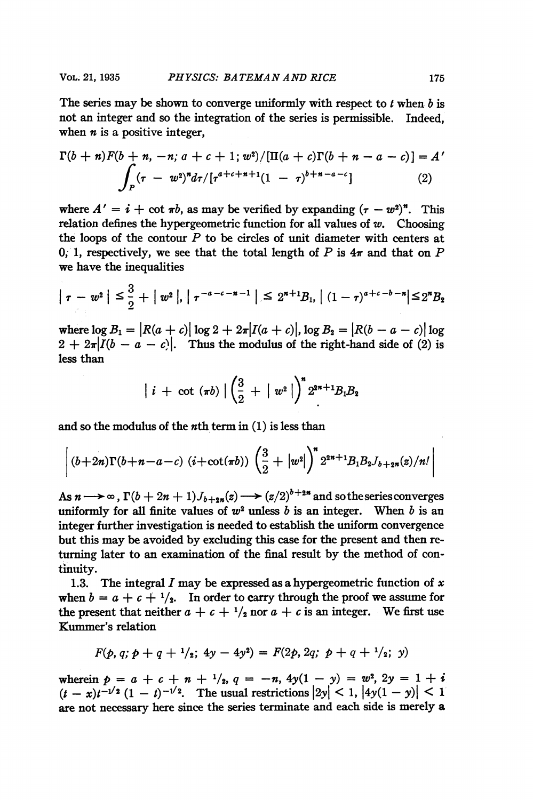The series may be shown to converge uniformly with respect to  $t$  when  $b$  is not an integer and so the integration of the series is permissible. Indeed, when  $n$  is a positive integer,

$$
\Gamma(b+n)F(b+n,-n; a+c+1; w^2)/[\Pi(a+c)\Gamma(b+n-a-c)] = A'
$$
  

$$
\int_P (\tau - w^2)^n d\tau / [\tau^{a+c+n+1}(1-\tau)^{b+n-a-c}]
$$
 (2)

where  $A' = i + \cot \pi b$ , as may be verified by expanding  $(\tau - w^2)^n$ . This relation defines the hypergeometric function for all values of  $w$ . Choosing the loops of the contour  $P$  to be circles of unit diameter with centers at 0, 1, respectively, we see that the total length of P is  $4\pi$  and that on P we have the inequalities

$$
|\tau - w^2| \leq \frac{3}{2} + |w^2|, |\tau^{-a-c-n-1}| \leq 2^{n+1}B_1, |(1-\tau)^{a+c-b-n}| \leq 2^nB_2
$$

where  $\log B_1 = |R(a + c)| \log 2 + 2\pi |I(a + c)|$ ,  $\log B_2 = |R(b - a - c)| \log$  $2 + 2\pi |I(b-a-c)|$ . Thus the modulus of the right-hand side of (2) is less than

$$
i + \cot (\pi b) \left| \left( \frac{3}{2} + |w^2| \right)^n 2^{2n+1} B_1 B_2 \right|
$$

and so the modulus of the  $n$ th term in  $(1)$  is less than

$$
\left|(b+2n)\Gamma(b+n-a-c)\ (i+\cot(\pi b))\left(\frac{3}{2}+|w^2|\right)^n 2^{2n+1}B_1B_2J_{b+2n}(z)/n!\right|
$$

As  $n \rightarrow \infty$ ,  $\Gamma(b + 2n + 1)J_{b+2n}(z) \rightarrow (z/2)^{b+2n}$  and so the series converges uniformly for all finite values of  $w^2$  unless b is an integer. When b is an integer further investigation is needed to establish the uniform convergence but this may be avoided by excluding this case for the present and then returning later to an examination of the final result by the method of continuity.

1.3. The integral I may be expressed as a hypergeometric function of  $x$ when  $b = a + c + \frac{1}{2}$ . In order to carry through the proof we assume for the present that neither  $a + c + \frac{1}{2}$  nor  $a + c$  is an integer. We first use Kummer's relation

$$
F(p, q; p + q + \frac{1}{2}; 4y - 4y^2) = F(2p, 2q; p + q + \frac{1}{2}; y)
$$

wherein  $p = a + c + n + \frac{1}{2}$ ,  $q = -n$ ,  $4y(1 - y) = w^2$ ,  $2y = 1 + i$  $(t - x)t^{-1/2} (1 - t)^{-1/2}$ . The usual restrictions  $|2y| < 1$ ,  $|4y(1 - y)| < 1$ are not necessary here since the series terminate and each side is merely a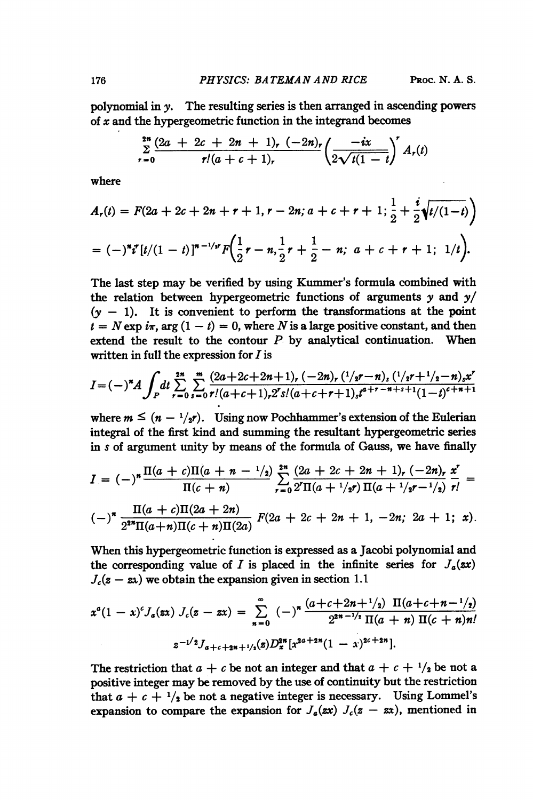polynomial in y. The resulting series is then arranged in ascending powers of  $x$  and the hypergeometric function in the integrand becomes

$$
\sum_{r=0}^{2n} \frac{(2a + 2c + 2n + 1)_r (-2n)_r}{r!(a + c + 1)_r} \left(\frac{-ix}{2\sqrt{i(1-t)}}\right)^r A_r(t)
$$

where

$$
A_r(t) = F(2a + 2c + 2n + r + 1, r - 2n; a + c + r + 1; \frac{1}{2} + \frac{i}{2}\sqrt{t/(1-t)})
$$
  
=  $(-)^n i^r [t/(1-t)]^{n-1/r} F(\frac{1}{2}r - n, \frac{1}{2}r + \frac{1}{2} - n; a + c + r + 1; 1/t).$ 

The last step may be verified by using Kummer's formula combined with the relation between hypergeometric functions of arguments  $\gamma$  and  $\gamma$ /  $(y - 1)$ . It is convenient to perform the transformations at the point  $t = N \exp i\pi$ , arg  $(1 - t) = 0$ , where N is a large positive constant, and then extend the result to the contour  $P$  by analytical continuation. When written in full the expression for  $I$  is

$$
I=(-)^{\ast}A\int_{P}dt\sum_{r=0}^{2^{\ast}}\sum_{s=0}^{\infty}\frac{(2a+2c+2n+1)_{r}(-2n)_{r}(1/s^{r}-n)_{s}(1/s^{r}+1/s-n)_{s}x^{r}}{r!(a+c+1)_{r}2^{r}s!(a+c+r+1)_{s}t^{a+r-n+s+1}(1-t)^{c+n+1}}
$$

where  $m \leq (n - \frac{1}{2})$ . Using now Pochhammer's extension of the Eulerian integral of the first kind and summing the resultant hypergeometric series in <sup>s</sup> of argument unity by means of the formula of Gauss, we have finally

$$
I = (-)^n \frac{\Pi(a+c)\Pi(a+n-1/2)}{\Pi(c+n)} \sum_{r=0}^{2^n} \frac{(2a+2c+2n+1)_r (-2n)_r}{2^r \Pi(a+1/2r)} \frac{x^r}{r!} = (-)^n \frac{\Pi(a+c)\Pi(2a+2n)}{2^{2^n} \Pi(a+n)\Pi(c+n)\Pi(2a)} F(2a+2c+2n+1, -2n; 2a+1; x).
$$

When this hypergeometric function is expressed as a Jacobi polynomial and the corresponding value of I is placed in the infinite series for  $J_a(xx)$  $J_c(z - zx)$  we obtain the expansion given in section 1.1

$$
x^{a}(1-x)^{c}J_{a}(zx) J_{c}(z-xx) = \sum_{n=0}^{\infty} (-)^{n} \frac{(a+c+2n+1/2) \Pi(a+c+n-1/2)}{2^{2n-1/2} \Pi(a+n) \Pi(c+n) n!}
$$
  

$$
z^{-1/2}J_{a+c+2n+1/2}(z)D_{x}^{2n}[x^{2a+2n}(1-x)^{2c+2n}].
$$

The restriction that  $a + c$  be not an integer and that  $a + c + \frac{1}{2}$  be not a positive integer may be removed by the use of continuity but the restriction that  $a + c + \frac{1}{2}$  be not a negative integer is necessary. Using Lommel's expansion to compare the expansion for  $J_a(xx)$   $J_c(z - zx)$ , mentioned in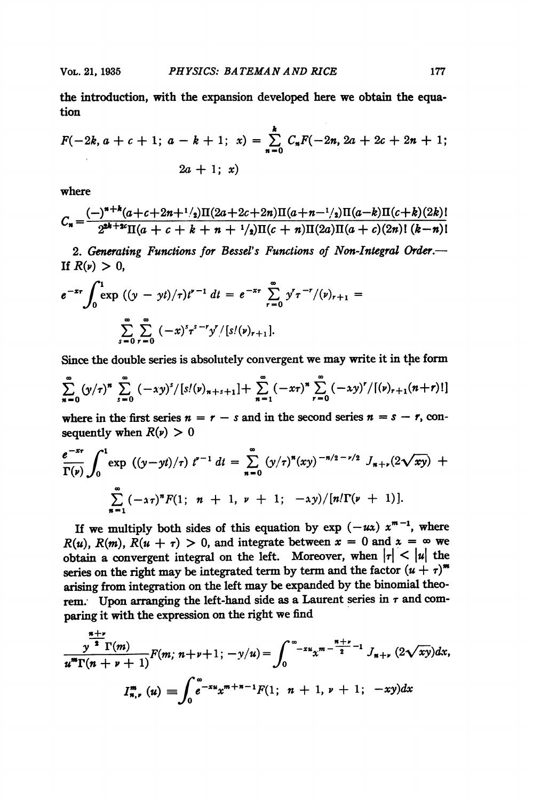the introduction, with the expansion developed here we obtain the equation

$$
F(-2k, a + c + 1; a - k + 1; x) = \sum_{n=0}^{k} C_n F(-2n, 2a + 2c + 2n + 1; x)
$$
  
2a + 1; x)

where

$$
C_n = \frac{(-)^{n+k}(a+c+2n+1/2)\Pi(2a+2c+2n)\Pi(a+n-1/2)\Pi(a-k)\Pi(c+k)(2k)!}{2^{2k+2c}\Pi(a+c+k+n+1/2)\Pi(c+n)\Pi(2a)\Pi(a+c)(2n)!\ (k-n)!}
$$

2. Generating Functions for Bessel's Functions of Non-Integral Order. If  $R(\nu) > 0$ ,

$$
e^{-x\tau}\int_0^1 \exp((y-yt)/\tau)t^{\nu-1} dt = e^{-x\tau}\sum_{r=0}^{\infty} y^r \tau^{-r}/(\nu)_{r+1} = \sum_{s=0}^{\infty} \sum_{r=0}^{\infty} (-x)^s \tau^{s-r} y^r/[s!(\nu)_{r+1}].
$$

Since the double series is absolutely convergent we may write it in the form

$$
\sum_{n=0}^{\infty} (y/\tau)^n \sum_{s=0}^{\infty} (-xy)^s/[s/(y)_{n+s+1}] + \sum_{n=1}^{\infty} (-x\tau)^n \sum_{r=0}^{\infty} (-xy)^r/[y]_{r+1}(n+r)!
$$

where in the first series  $n = r - s$  and in the second series  $n = s - r$ , consequently when  $R(\nu) > 0$ 

$$
\frac{e^{-x\tau}}{\Gamma(\nu)}\int_0^1 \exp((y-yt)/\tau) t^{\nu-1} dt = \sum_{n=0}^{\infty} (y/\tau)^n (xy)^{-n/2-\nu/2} J_{n+\nu}(2\sqrt{xy}) + \sum_{n=1}^{\infty} (-x\tau)^n F(1; n+1, \nu+1; -xy)/[n!\Gamma(\nu+1)].
$$

If we multiply both sides of this equation by  $\exp(-u\lambda) x^{m-1}$ , where  $R(u)$ ,  $R(m)$ ,  $R(u + \tau) > 0$ , and integrate between  $x = 0$  and  $x = \infty$  we obtain a convergent integral on the left. Moreover, when  $|\tau| < |\mu|$  the series on the right may be integrated term by term and the factor  $(u + \tau)^m$ arising from integration on the left may be expanded by the binomial theorem. Upon arranging the left-hand side as a Laurent series in  $\tau$  and comparing it with the expression on the right we find

$$
\frac{\pi^{n+\nu}}{u^m\Gamma(n+\nu+1)}F(m; n+\nu+1; -y/u) = \int_0^{\infty} -xu}x^{m-\frac{n+\nu}{2}-1} J_{n+\nu} (2\sqrt{xy})dx,
$$
  

$$
I_{n,\nu}^m (u) = \int_0^{\infty} e^{-xu}x^{m+n-1}F(1; n+1, \nu+1; -xy)dx
$$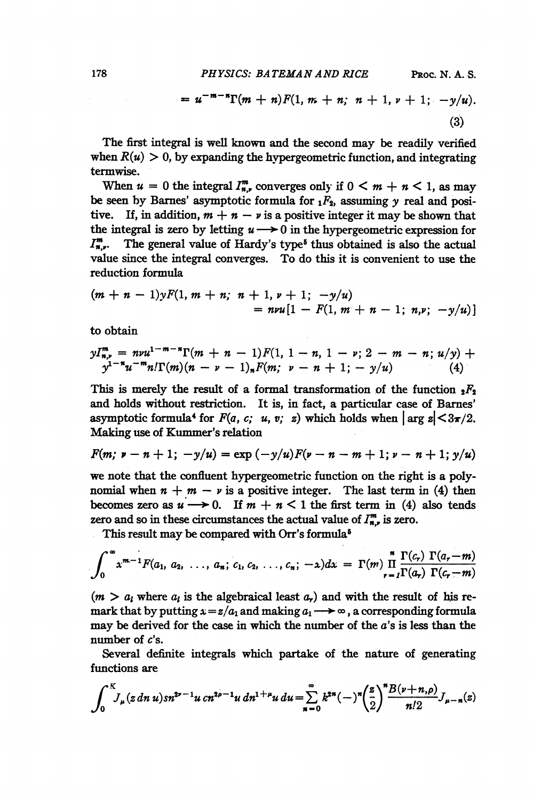$$
= u^{-m-n}\Gamma(m+n)F(1, m+n; n+1, \nu+1; -y/u).
$$
\n(3)

The first integral is well known and the second may be readily verified when  $R(u) > 0$ , by expanding the hypergeometric function, and integrating termwise.

When  $u = 0$  the integral  $I_{n}^{m}$ , converges only if  $0 \leq m + n \leq 1$ , as may be seen by Barnes' asymptotic formula for  $_1F_2$ , assuming y real and positive. If, in addition,  $m + n - \nu$  is a positive integer it may be shown that the integral is zero by letting  $u \rightarrow 0$  in the hypergeometric expression for  $I_{n}^{m}$ . The general value of Hardy's type<sup>5</sup> thus obtained is also the actual value since the integral converges. To do this it is convenient to use the reduction formula

$$
(m + n - 1)yF(1, m + n; n + 1, \nu + 1; -y/u)
$$
  
=  $nvu[1 - F(1, m + n - 1; n, \nu; -y/u)]$ 

to obtain

$$
yI_{n,\nu}^m = n\nu u^{1-m-n}\Gamma(m+n-1)F(1, 1-n, 1-\nu; 2-m-n; u/y) +
$$
  

$$
y^{1-n}u^{-m}n!\Gamma(m)(n-\nu-1)_nF(m; \nu-n+1; -y/u) \qquad (4)
$$

This is merely the result of a formal transformation of the function  $_2F_2$ and holds without restriction. It is, in fact, a particular case of Barnes' asymptotic formula<sup>4</sup> for  $F(a, c; u, v; z)$  which holds when  $\vert \arg z \vert \leq 3\pi/2$ . Making use of Kummer's relation

$$
F(m; \nu - n + 1; -y/u) = \exp(-y/u)F(\nu - n - m + 1; \nu - n + 1; y/u)
$$

we note that the confluent hypergeometric function on the right is a polynomial when  $n + m - \nu$  is a positive integer. The last term in (4) then becomes zero as  $u \rightarrow 0$ . If  $m + n < 1$  the first term in (4) also tends zero and so in these circumstances the actual value of  $I_{n,r}^m$  is zero.

This result may be compared with Orr's formula5

$$
\int_0^{\infty} x^{m-1} F(a_1, a_2, \ldots, a_n; c_1, c_2, \ldots, c_n; -x) dx = \Gamma(m) \prod_{r=1}^n \frac{\Gamma(c_r) \Gamma(a_r - m)}{\Gamma(a_r) \Gamma(c_r - m)}
$$

 $(m > a<sub>l</sub>$  where  $a<sub>l</sub>$  is the algebraical least  $a<sub>r</sub>$ ) and with the result of his remark that by putting  $x = z/a_1$  and making  $a_1 \rightarrow \infty$ , a corresponding formula may be derived for the case in which the number of the  $a$ 's is less than the number of  $c$ 's.

Several definite integrals which partake of the nature of generating functions are

$$
\int_0^K J_\mu(z \, dn \, u) s n^{2\nu-1} u \, c n^{2\rho-1} u \, d n^{1+\mu} u \, d u = \sum_{n=0}^\infty k^{2n} (-) \left( \frac{z}{2} \right)^n \frac{B(\nu+n,\rho)}{n!2} J_{\mu-n}(z)
$$